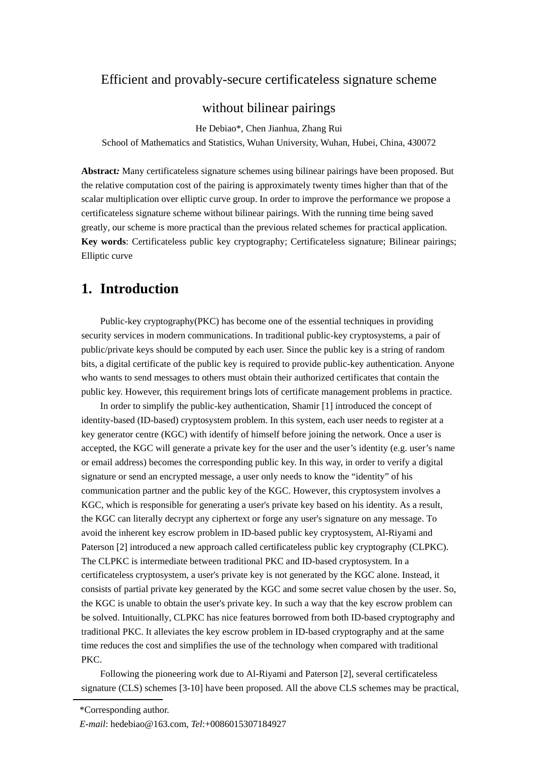### Efficient and provably-secure certificateless signature scheme

### without bilinear pairings

He Debiao\*, Chen Jianhua, Zhang Rui

School of Mathematics and Statistics, Wuhan University, Wuhan, Hubei, China, 430072

**Abstract***:* Many certificateless signature schemes using bilinear pairings have been proposed. But the relative computation cost of the pairing is approximately twenty times higher than that of the scalar multiplication over elliptic curve group. In order to improve the performance we propose a certificateless signature scheme without bilinear pairings. With the running time being saved greatly, our scheme is more practical than the previous related schemes for practical application. **Key words**: Certificateless public key cryptography; Certificateless signature; Bilinear pairings; Elliptic curve

# **1. Introduction**

Public-key cryptography(PKC) has become one of the essential techniques in providing security services in modern communications. In traditional public-key cryptosystems, a pair of public/private keys should be computed by each user. Since the public key is a string of random bits, a digital certificate of the public key is required to provide public-key authentication. Anyone who wants to send messages to others must obtain their authorized certificates that contain the public key. However, this requirement brings lots of certificate management problems in practice.

In order to simplify the public-key authentication, Shamir [1] introduced the concept of identity-based (ID-based) cryptosystem problem. In this system, each user needs to register at a key generator centre (KGC) with identify of himself before joining the network. Once a user is accepted, the KGC will generate a private key for the user and the user's identity (e.g. user's name or email address) becomes the corresponding public key. In this way, in order to verify a digital signature or send an encrypted message, a user only needs to know the "identity" of his communication partner and the public key of the KGC. However, this cryptosystem involves a KGC, which is responsible for generating a user's private key based on his identity. As a result, the KGC can literally decrypt any ciphertext or forge any user's signature on any message. To avoid the inherent key escrow problem in ID-based public key cryptosystem, Al-Riyami and Paterson [2] introduced a new approach called certificateless public key cryptography (CLPKC). The CLPKC is intermediate between traditional PKC and ID-based cryptosystem. In a certificateless cryptosystem, a user's private key is not generated by the KGC alone. Instead, it consists of partial private key generated by the KGC and some secret value chosen by the user. So, the KGC is unable to obtain the user's private key. In such a way that the key escrow problem can be solved. Intuitionally, CLPKC has nice features borrowed from both ID-based cryptography and traditional PKC. It alleviates the key escrow problem in ID-based cryptography and at the same time reduces the cost and simplifies the use of the technology when compared with traditional PKC.

Following the pioneering work due to Al-Riyami and Paterson [2], several certificateless signature (CLS) schemes [3-10] have been proposed. All the above CLS schemes may be practical,

<sup>\*</sup>Corresponding author.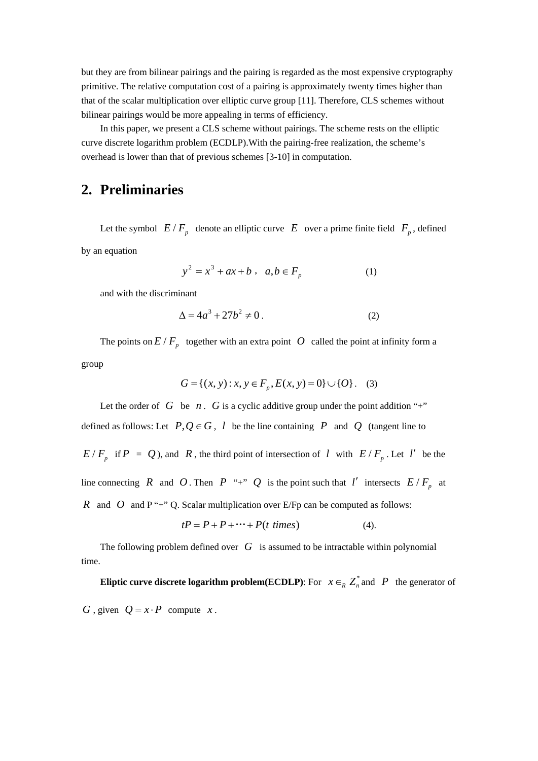but they are from bilinear pairings and the pairing is regarded as the most expensive cryptography primitive. The relative computation cost of a pairing is approximately twenty times higher than that of the scalar multiplication over elliptic curve group [11]. Therefore, CLS schemes without bilinear pairings would be more appealing in terms of efficiency.

In this paper, we present a CLS scheme without pairings. The scheme rests on the elliptic curve discrete logarithm problem (ECDLP).With the pairing-free realization, the scheme's overhead is lower than that of previous schemes [3-10] in computation.

# **2. Preliminaries**

Let the symbol  $E / F_p$  denote an elliptic curve *E* over a prime finite field  $F_p$ , defined by an equation

$$
y^2 = x^3 + ax + b \ , \ a, b \in F_p \tag{1}
$$

and with the discriminant

$$
\Delta = 4a^3 + 27b^2 \neq 0 \tag{2}
$$

The points on  $E / F_p$  together with an extra point *O* called the point at infinity form a group

$$
G = \{(x, y) : x, y \in F_p, E(x, y) = 0\} \cup \{O\}.
$$
 (3)

Let the order of  $G$  be  $n$ .  $G$  is a cyclic additive group under the point addition "+" defined as follows: Let  $P, Q \in G$ , *l* be the line containing *P* and *Q* (tangent line to  $E/F_p$  if  $P = Q$ ), and  $R$ , the third point of intersection of  $l$  with  $E/F_p$ . Let  $l'$  be the line connecting *R* and *O*. Then *P* "+" *Q* is the point such that *l'* intersects  $E/F_p$  at *R* and *O* and  $P''''$  *Q*. Scalar multiplication over E/Fp can be computed as follows:

$$
tP = P + P + \cdots + P(t \text{ times}) \tag{4}
$$

The following problem defined over  $G$  is assumed to be intractable within polynomial time.

### **Eliptic curve discrete logarithm problem(ECDLP):** For  $x \in_R Z_n^*$  and *P* the generator of

*G*, given  $Q = x \cdot P$  compute *x*.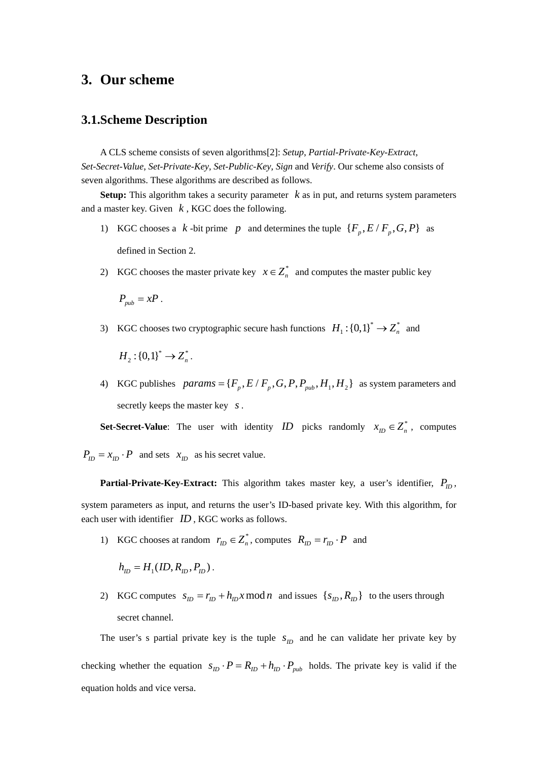### **3. Our scheme**

#### **3.1.Scheme Description**

A CLS scheme consists of seven algorithms[2]: *Setup*, *Partial-Private-Key-Extract*, *Set-Secret-Value*, *Set-Private-Key*, *Set-Public-Key*, *Sign* and *Verify*. Our scheme also consists of seven algorithms. These algorithms are described as follows.

**Setup:** This algorithm takes a security parameter *k* as in put, and returns system parameters and a master key. Given  $k$ , KGC does the following.

- 1) KGC chooses a *k* -bit prime *p* and determines the tuple  $\{F_p, E/F_p, G, P\}$  as defined in Section 2.
- 2) KGC chooses the master private key  $x \in Z_n^*$  and computes the master public key

$$
P_{pub} = xP.
$$

3) KGC chooses two cryptographic secure hash functions  $H_1: \{0,1\}^* \to Z_n^*$  and

$$
H_2: \{0,1\}^* \to Z_n^*.
$$

4) KGC publishes  $params = {F_p, E / F_p, G, P, P_{pub}, H_1, H_2}$  as system parameters and secretly keeps the master key *s* .

**Set-Secret-Value**: The user with identity *ID* picks randomly  $x_{1D} \in Z_n^*$ , computes  $P_{ID} = x_{ID} \cdot P$  and sets  $x_{ID}$  as his secret value.

**Partial-Private-Key-Extract:** This algorithm takes master key, a user's identifier,  $P_{ID}$ , system parameters as input, and returns the user's ID-based private key. With this algorithm, for each user with identifier *ID* , KGC works as follows.

1) KGC chooses at random  $r_{ID} \in Z_n^*$ , computes  $R_{ID} = r_{ID} \cdot P$  and

 $h_{ID} = H_1(ID, R_{ID}, P_{ID}).$ 

2) KGC computes  $s_{ID} = r_{ID} + h_{ID}x \mod n$  and issues  $\{s_{ID}, R_{ID}\}\)$  to the users through secret channel.

The user's s partial private key is the tuple  $S_{ID}$  and he can validate her private key by checking whether the equation  $S_{ID} \cdot P = R_{ID} + h_{ID} \cdot P_{pub}$  holds. The private key is valid if the equation holds and vice versa.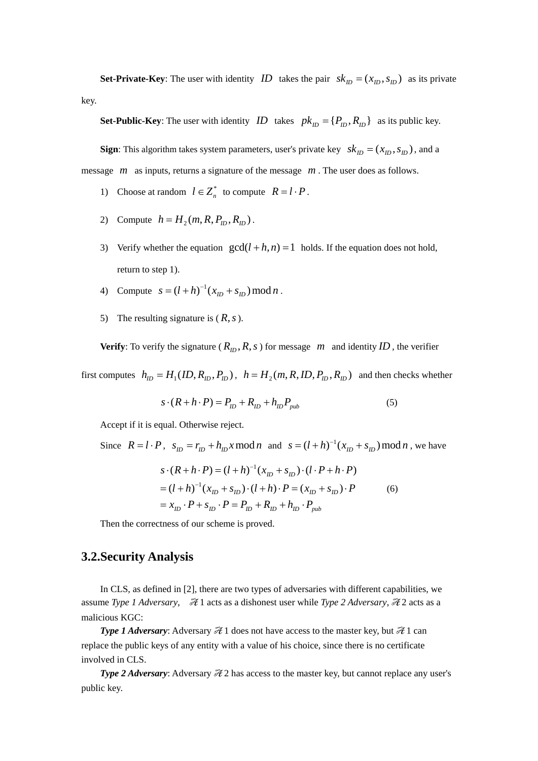**Set-Private-Key**: The user with identity *ID* takes the pair  $sk_{D} = (x_{D}, s_{D})$  as its private key.

**Set-Public-Key**: The user with identity *ID* takes  $pk_m = \{P_m, R_m\}$  as its public key.

**Sign**: This algorithm takes system parameters, user's private key  $sk_D = (x_D, s_D)$ , and a message *m* as inputs, returns a signature of the message *m* . The user does as follows.

- 1) Choose at random  $l \in Z_n^*$  to compute  $R = l \cdot P$ .
- 2) Compute  $h = H_2(m, R, P_{1D}, R_{1D})$ .
- 3) Verify whether the equation  $gcd(l + h, n) = 1$  holds. If the equation does not hold, return to step 1).
- 4) Compute  $s = (l + h)^{-1} (x_{1D} + s_{1D}) \bmod n$ .
- 5) The resulting signature is ( *R*,*s*).

**Verify**: To verify the signature ( $R_D$ ,  $R$ ,  $s$ ) for message  $m$  and identity  $ID$ , the verifier

first computes  $h_{ID} = H_1(ID, R_{ID}, P_{ID})$ ,  $h = H_2(m, R, ID, P_{ID}, R_{ID})$  and then checks whether

$$
s \cdot (R + h \cdot P) = P_{ID} + R_{ID} + h_{ID} P_{pub}
$$
\n<sup>(5)</sup>

Accept if it is equal. Otherwise reject.

Since  $R = l \cdot P$ ,  $s_{ID} = r_{ID} + h_{ID}x \mod n$  and  $s = (l + h)^{-1}(x_{ID} + s_{ID}) \mod n$ , we have

$$
s \cdot (R + h \cdot P) = (l + h)^{-1} (x_{1D} + s_{1D}) \cdot (l \cdot P + h \cdot P)
$$
  
=  $(l + h)^{-1} (x_{1D} + s_{1D}) \cdot (l + h) \cdot P = (x_{1D} + s_{1D}) \cdot P$  (6)  
=  $x_{1D} \cdot P + s_{1D} \cdot P = P_{1D} + R_{1D} + h_{1D} \cdot P_{pub}$ 

Then the correctness of our scheme is proved.

#### **3.2.Security Analysis**

In CLS, as defined in [2], there are two types of adversaries with different capabilities, we assume *Type 1 Adversary*,  $\mathcal{H}$  1 acts as a dishonest user while *Type 2 Adversary*,  $\mathcal{H}$  2 acts as a malicious KGC:

**Type 1 Adversary:** Adversary  $\mathcal{H}$  1 does not have access to the master key, but  $\mathcal{H}$  1 can replace the public keys of any entity with a value of his choice, since there is no certificate involved in CLS.

**Type 2 Adversary:** Adversary  $\mathcal{H}$  2 has access to the master key, but cannot replace any user's public key.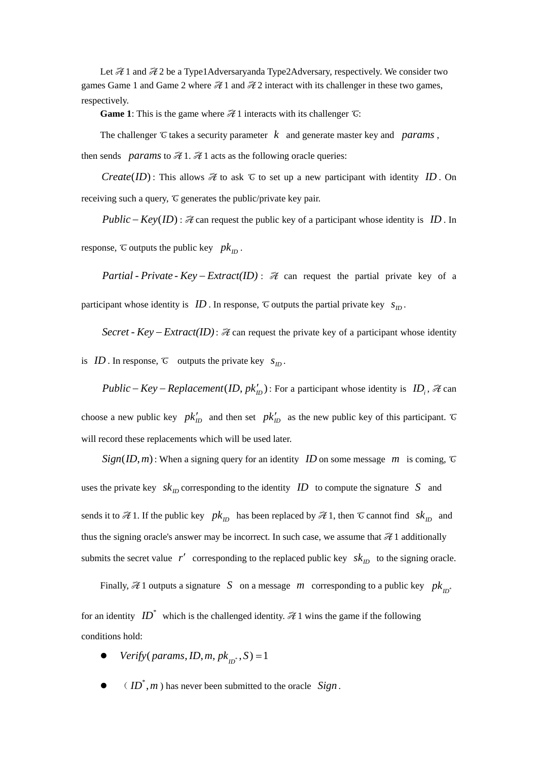Let  $\mathcal{H}$  1 and  $\mathcal{H}$  2 be a Type1Adversaryanda Type2Adversary, respectively. We consider two games Game 1 and Game 2 where  $\mathcal{H}$  1 and  $\mathcal{H}$  2 interact with its challenger in these two games, respectively.

**Game 1**: This is the game where  $\mathcal{H}$  1 interacts with its challenger  $\sigma$ :

The challenger  $\sigma$  takes a security parameter  $k$  and generate master key and *params*, then sends *params* to  $\mathcal{H}$  1.  $\mathcal{H}$  1 acts as the following oracle queries:

*Create*  $(ID)$ : This allows  $\mathcal{H}$  to ask  $\mathcal{T}$  to set up a new participant with identity *ID*. On receiving such a query, C generates the public/private key pair.

*Public – Key(ID)* :  $\mathcal{H}$  can request the public key of a participant whose identity is *ID*. In response,  $\sigma$  outputs the public key  $pk$ <sub>ID</sub>.

*Partial - Private - Key – Extract(ID)* :  $\mathcal{F}$  can request the partial private key of a participant whose identity is *ID*. In response,  $\sigma$  outputs the partial private key  $s_{ID}$ .

*Secret - Key – Extract(ID)*:  $\mathcal{F}$  can request the private key of a participant whose identity

is *ID*. In response,  $\mathcal{C}$  outputs the private key  $S_{ID}$ .

*Public – Key – Replacement* (*ID*,  $pk'_{D}$ ) : For a participant whose identity is *ID*<sub>i</sub>,  $\mathcal{F}$  can choose a new public key  $pk'_{ID}$  and then set  $pk'_{ID}$  as the new public key of this participant.  $\sigma$ will record these replacements which will be used later.

 $Sign(ID, m)$ : When a signing query for an identity *ID* on some message *m* is coming,  $\sigma$ uses the private key  $sk_{in}$  corresponding to the identity *ID* to compute the signature *S* and sends it to  $\mathcal{H}$  1. If the public key  $pk_{1D}$  has been replaced by  $\mathcal{H}$  1, then  $\sigma$  cannot find  $sk_{1D}$  and thus the signing oracle's answer may be incorrect. In such case, we assume that  $\mathcal{H}_1$  additionally submits the secret value  $r'$  corresponding to the replaced public key  $sk_{ID}$  to the signing oracle.

Finally,  $\mathcal{H}$  1 outputs a signature *S* on a message *m* corresponding to a public key  $pk_{m^*}$ for an identity  $ID^*$  which is the challenged identity.  $\mathcal{F}_1$  wins the game if the following conditions hold:

 $Verify(params, ID, m, pk_{m^*}, S) = 1$ 

 $\langle ID^*, m \rangle$  has never been submitted to the oracle *Sign*.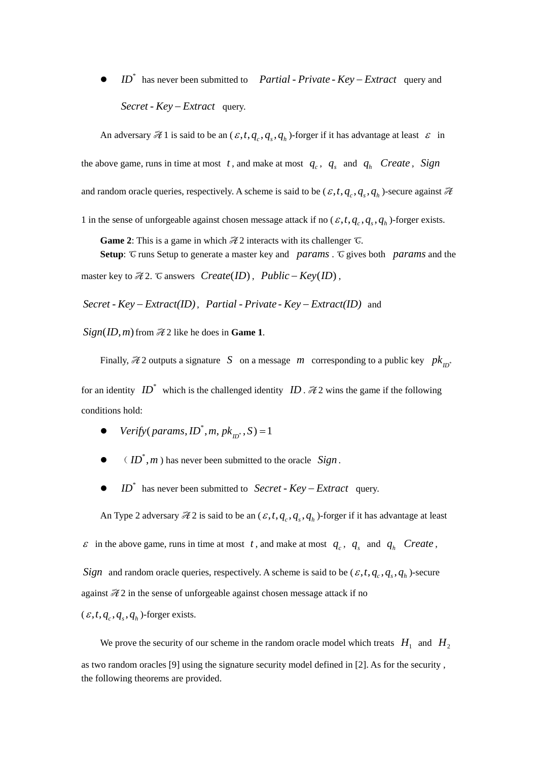*ID*<sup>\*</sup> has never been submitted to *Partial - Private - Key – Extract* query and *Secret - Key – Extract* query.

An adversary  $\mathcal{F}$  1 is said to be an  $(\varepsilon, t, q_c, q_s, q_h)$ -forger if it has advantage at least  $\varepsilon$  in the above game, runs in time at most *t*, and make at most  $q_c$ ,  $q_s$  and  $q_h$  Create, Sign and random oracle queries, respectively. A scheme is said to be  $(\varepsilon, t, q_c, q_s, q_h)$ -secure against  $\mathcal{H}$ 1 in the sense of unforgeable against chosen message attack if no  $(\varepsilon, t, q_c, q_s, q_h)$ -forger exists.

**Game 2**: This is a game in which  $\mathcal{H}$  2 interacts with its challenger  $\mathcal{F}$ . **Setup**: C runs Setup to generate a master key and *params* . C gives both *params* and the master key to  $\mathcal{R}$  2.  $\mathcal{C}$  answers *Create(ID)*, *Public – Key(ID)*,

*Secret - Key – Extract(ID)*, *Partial - Private - Key – Extract(ID)* and

 $Sign(ID, m)$  from  $\mathcal{H}$  2 like he does in **Game 1**.

Finally,  $\mathcal{H}$  2 outputs a signature *S* on a message *m* corresponding to a public key  $pk_{m^*}$ for an identity  $ID^*$  which is the challenged identity  $ID \cdot \mathcal{H}$  wins the game if the following conditions hold:

- *Verify*( $params, ID^*, m, pk_{ID^*}, S$ ) = 1
- $\langle ID^*, m \rangle$  has never been submitted to the oracle *Sign*.
- $ID^*$  has never been submitted to *Secret Key Extract* query.

An Type 2 adversary  $\mathcal{F}2$  is said to be an  $(\varepsilon, t, q_c, q_s, q_h)$ -forger if it has advantage at least

 $\varepsilon$  in the above game, runs in time at most t, and make at most  $q_c$ ,  $q_s$  and  $q_h$  Create,

*Sign* and random oracle queries, respectively. A scheme is said to be  $(\varepsilon, t, q_c, q_s, q_h)$ -secure against  $\mathcal{H}2$  in the sense of unforgeable against chosen message attack if no

 $(\varepsilon, t, q_c, q_s, q_h)$ -forger exists.

We prove the security of our scheme in the random oracle model which treats  $H_1$  and  $H_2$ as two random oracles [9] using the signature security model defined in [2]. As for the security , the following theorems are provided.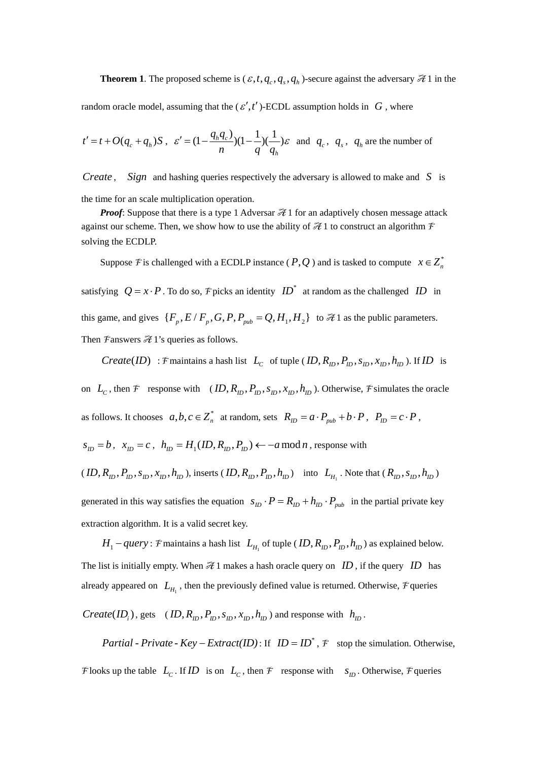**Theorem 1**. The proposed scheme is  $(\varepsilon, t, q_c, q_s, q_h)$ -secure against the adversary  $\mathcal{H}$  1 in the

random oracle model, assuming that the  $(\varepsilon', t')$ -ECDL assumption holds in *G*, where

$$
t' = t + O(q_c + q_h)S
$$
,  $\varepsilon' = (1 - \frac{q_h q_c}{n})(1 - \frac{1}{q})(\frac{1}{q_h})\varepsilon$  and  $q_c$ ,  $q_s$ ,  $q_h$  are the number of

*Create* , *Sign* and hashing queries respectively the adversary is allowed to make and *S* is the time for an scale multiplication operation.

*Proof*: Suppose that there is a type 1 Adversar  $\mathcal{H}$  1 for an adaptively chosen message attack against our scheme. Then, we show how to use the ability of  $\mathcal{F}_1$  to construct an algorithm  $\mathcal{F}_1$ solving the ECDLP.

Suppose *F* is challenged with a ECDLP instance (*P*, *Q*) and is tasked to compute  $x \in Z_n^*$ satisfying  $Q = x \cdot P$ . To do so, F picks an identity  $ID^*$  at random as the challenged *ID* in this game, and gives  $\{F_p, E / F_p, G, P, P_{pub} = Q, H_1, H_2\}$  to  $\mathcal{H}$  1 as the public parameters. Then Fanswers  $\mathcal{F}$  1's queries as follows.

*Create (ID)* : F maintains a hash list  $L_c$  of tuple  $(ID, R_m, P_m, s_m, x_m, h_m)$ . If *ID* is on  $L_c$ , then F response with  $(D, R_{ID}, P_{ID}, s_{ID}, x_{ID}, h_{ID})$ . Otherwise, F simulates the oracle as follows. It chooses  $a, b, c \in \mathbb{Z}_n^*$  at random, sets  $R_{ID} = a \cdot P_{pub} + b \cdot P$ ,  $P_{ID} = c \cdot P$ ,

 $S_{ID} = b$ ,  $X_{ID} = c$ ,  $h_{ID} = H_1(ID, R_{ID}, P_{ID}) \leftarrow -a \mod n$ , response with

 $( ID, R<sub>1D</sub>, P<sub>1D</sub>, S<sub>1D</sub>, X<sub>1D</sub>, h<sub>1D</sub>)$ , inserts  $( ID, R<sub>1D</sub>, P<sub>1D</sub>, h<sub>1D</sub>)$  into  $L<sub>H<sub>1</sub></sub>$ . Note that  $(R<sub>1D</sub>, S<sub>1D</sub>, h<sub>1D</sub>)$ generated in this way satisfies the equation  $S_{ID} \cdot P = R_{ID} + h_{ID} \cdot P_{pub}$  in the partial private key extraction algorithm. It is a valid secret key.

*H*<sub>1</sub> − *query* : F maintains a hash list  $L_{H_1}$  of tuple (*ID*,  $R_{ID}$ ,  $P_{ID}$ ,  $h_{ID}$ ) as explained below. The list is initially empty. When  $\mathcal{H}$  1 makes a hash oracle query on *ID*, if the query *ID* has already appeared on  $L_{H_1}$ , then the previously defined value is returned. Otherwise,  $\tilde{\mathcal{F}}$  queries

 $Create (ID<sub>i</sub>)$ , gets  $(ID, R<sub>n</sub>, R<sub>n</sub>, S<sub>n</sub>, x<sub>n</sub>, h<sub>n</sub>)$  and response with  $h<sub>n</sub>$ .

*Partial - Private - Key – Extract(ID)*: If  $ID = ID^*$ ,  $F$  stop the simulation. Otherwise, F looks up the table  $L_c$ . If *ID* is on  $L_c$ , then F response with  $s_p$ . Otherwise, F queries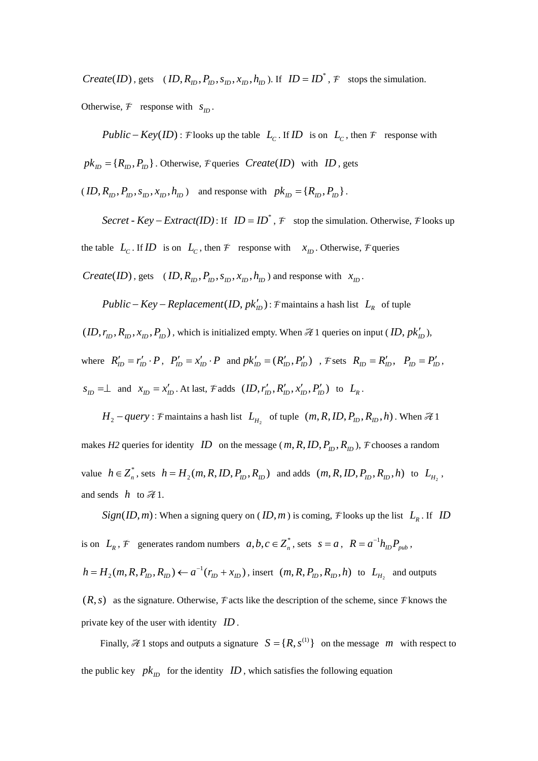*Create* (*ID*), gets (*ID*,  $R_D$ ,  $P_D$ ,  $S_D$ ,  $X_D$ ,  $h_D$ ). If  $ID = ID^*$ ,  $F$  stops the simulation. Otherwise,  $\tilde{\mathcal{F}}$  response with  $S_{ID}$ .

*Public – Key(ID)* : F looks up the table  $L_c$ . If *ID* is on  $L_c$ , then F response with  $pk_{ID} = \{R_{ID}, P_{ID}\}\.$  Otherwise, F queries *Create (ID)* with *ID*, gets  $(D, R_{ID}, P_{ID}, s_{ID}, x_{ID}, h_{ID})$  and response with  $pk_{ID} = \{R_{ID}, P_{ID}\}.$ 

*Secret - Key – Extract(ID)*: If  $ID = ID^*$ ,  $F$  stop the simulation. Otherwise,  $F$ looks up the table  $L_c$ . If *ID* is on  $L_c$ , then  $\mathcal{F}$  response with  $x_{ID}$ . Otherwise,  $\mathcal{F}$  queries

*Create*(*ID*), gets (*ID*,  $R_m$ ,  $P_m$ ,  $s_m$ ,  $x_m$ ,  $h_m$ ) and response with  $x_m$ .

 $Public - Key - Replacement (ID, pk<sub>D</sub>)$ : F maintains a hash list  $L<sub>R</sub>$  of tuple

 $(ID, r<sub>ID</sub>, R<sub>ID</sub>, x<sub>ID</sub>, P<sub>ID</sub>)$ , which is initialized empty. When  $\mathcal{H}$  1 queries on input (*ID*,  $pk<sub>ID</sub>'$ ), where  $R'_{ID} = r'_{ID} \cdot P$ ,  $P'_{ID} = x'_{ID} \cdot P$  and  $pk'_{ID} = (R'_{ID}, P'_{ID})$ ,  $\bar{r}$  sets  $R_{ID} = R'_{ID}$ ,  $P_{ID} = P'_{ID}$ ,  $S_{ID} = \perp$  and  $X_{ID} = X'_{ID}$ . At last, F adds  $(ID, r'_{ID}, R'_{ID}, x'_{ID}, P'_{ID} )$  to  $L_R$ .

*H*<sub>2</sub> – *query* : F maintains a hash list  $L_{H_2}$  of tuple  $(m, R, ID, P_{ID}, R_{ID}, h)$ . When  $\mathcal{H}$  1 makes *H2* queries for identity *ID* on the message (*m*, *R*, *ID*,  $P_{ID}$ ,  $R_{ID}$ ), *F* chooses a random  $n \in \mathbb{Z}_n^*$ , sets  $h = H_2(m, R, ID, P_{ID}, R_{ID})$  and adds  $(m, R, ID, P_{ID}, R_{ID}, h)$  to  $L_{H_2}$ , and sends  $h$  to  $\mathcal{H}$  1.

*Sign*(*ID*,*m*): When a signing query on (*ID*,*m*) is coming,  $\tilde{\tau}$  looks up the list  $L_R$ . If *ID* is on  $L_R$ ,  $\mathcal{F}$  generates random numbers  $a, b, c \in \mathbb{Z}_n^*$ , sets  $s = a$ ,  $R = a^{-1}h_{ID}P_{pub}$ ,  $h = H_2(m, R, P_{ID}, R_{ID}) \leftarrow a^{-1}(r_{ID} + x_{ID})$ , insert  $(m, R, P_{ID}, R_{ID}, h)$  to  $L_{H_2}$  and outputs  $(R, s)$  as the signature. Otherwise, F acts like the description of the scheme, since F knows the private key of the user with identity *ID* .

Finally,  $\mathcal{F}_1$  stops and outputs a signature  $S = \{R, s^{(1)}\}$  on the message *m* with respect to the public key  $pk_{1D}$  for the identity  $ID$ , which satisfies the following equation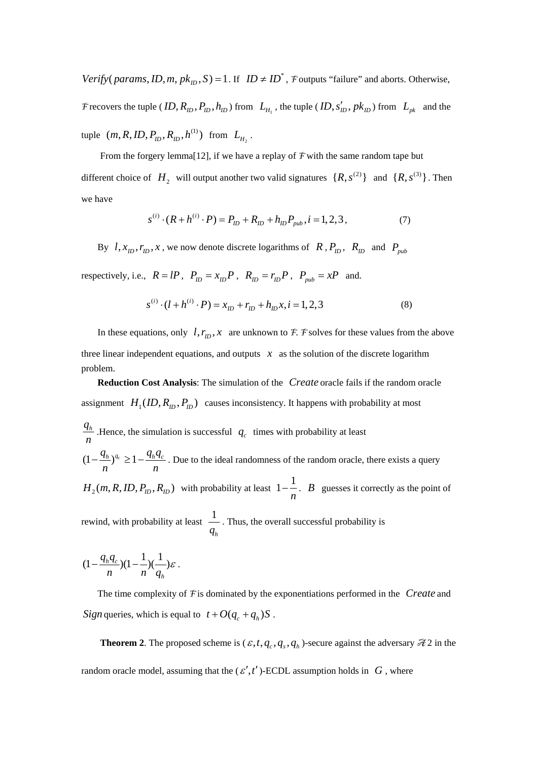Verify( params, *ID*, m,  $pk_m$ , *S*) = 1. If *ID*  $\neq$  *ID*<sup>\*</sup>,  $\overline{r}$  outputs "failure" and aborts. Otherwise, F recovers the tuple ( $ID, R_{ID}, P_{ID}, h_{ID}$ ) from  $L_{H_1}$ , the tuple ( $ID, s'_{ID}, pk_{ID}$ ) from  $L_{pk}$  and the tuple  $(m, R, ID, P_{ID}, R_{ID}, h^{(1)})$  from  $L_{H_2}$ .

From the forgery lemma<sup>[12]</sup>, if we have a replay of  $\tilde{\mathcal{F}}$  with the same random tape but different choice of  $H_2$  will output another two valid signatures  $\{R, s^{(2)}\}$  and  $\{R, s^{(3)}\}$ . Then we have

$$
s^{(i)} \cdot (R + h^{(i)} \cdot P) = P_{ID} + R_{ID} + h_{ID} P_{pub}, i = 1, 2, 3,
$$
 (7)

By  $l, x_{ID}, r_{ID}, x$ , we now denote discrete logarithms of  $R, P_{ID}, R_{ID}$  and  $P_{pub}$ 

respectively, i.e.,  $R = lP$ ,  $P_{ID} = x_{ID}P$ ,  $R_{ID} = r_{ID}P$ ,  $P_{pub} = xP$  and.

$$
s^{(i)} \cdot (l + h^{(i)} \cdot P) = x_{1D} + r_{1D} + h_{1D} x, i = 1, 2, 3
$$
 (8)

In these equations, only  $l, r<sub>ID</sub>, x$  are unknown to  $\tilde{\tau}$ . F solves for these values from the above three linear independent equations, and outputs  $x$  as the solution of the discrete logarithm problem.

**Reduction Cost Analysis**: The simulation of the *Create* oracle fails if the random oracle assignment  $H_1$ (*ID*,  $R_{ID}$ ,  $P_{ID}$ ) causes inconsistency. It happens with probability at most

*h q*  $\frac{d^2h}{dt}$ . Hence, the simulation is successful  $q_c$  times with probability at least  $\frac{d^2h}{dt^2}$  $(1 - \frac{q_h}{q_c})^{q_c} \geq 1 - \frac{q_h q_c}{q_c}$ *n n*  $-\frac{q_h}{r^2}$  =  $1-\frac{q_hq_c}{r^2}$ . Due to the ideal randomness of the random oracle, there exists a query  $H_2(m, R, ID, P_{ID}, R_{ID})$  with probability at least  $1 - \frac{1}{n}$ . *B* guesses it correctly as the point of rewind, with probability at least  $\frac{1}{1}$ *h q* . Thus, the overall successful probability is

$$
(1-\frac{q_hq_c}{n})(1-\frac{1}{n})(\frac{1}{q_h})\varepsilon.
$$

The time complexity of F is dominated by the exponentiations performed in the *Create* and *Sign* queries, which is equal to  $t + O(q_c + q_h)S$ .

**Theorem 2**. The proposed scheme is  $(\varepsilon, t, q_c, q_s, q_h)$ -secure against the adversary  $\mathcal{F}2$  in the random oracle model, assuming that the  $(\varepsilon', t')$ -ECDL assumption holds in *G*, where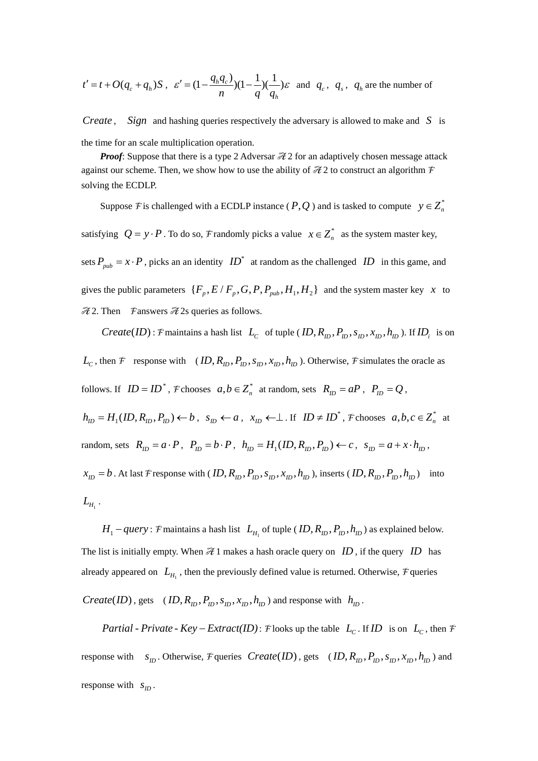$$
t' = t + O(q_c + q_h)S
$$
,  $\varepsilon' = (1 - \frac{q_h q_c}{n})(1 - \frac{1}{q})(\frac{1}{q_h})\varepsilon$  and  $q_c$ ,  $q_s$ ,  $q_h$  are the number of

*Create* , *Sign* and hashing queries respectively the adversary is allowed to make and *S* is the time for an scale multiplication operation.

*Proof*: Suppose that there is a type 2 Adversar  $\mathcal{H}$  2 for an adaptively chosen message attack against our scheme. Then, we show how to use the ability of  $\mathcal{H}$  2 to construct an algorithm  $\tilde{\mathcal{F}}$ solving the ECDLP.

Suppose  $\tilde{\tau}$  is challenged with a ECDLP instance (*P*,*Q*) and is tasked to compute  $y \in Z_n^*$ satisfying  $Q = y \cdot P$ . To do so, *F* randomly picks a value  $x \in Z_n^*$  as the system master key, sets  $P_{pub} = x \cdot P$ , picks an an identity  $ID^*$  at random as the challenged *ID* in this game, and gives the public parameters  $\{F_p, E/F_p, G, P, P_{pub}, H_1, H_2\}$  and the system master key *x* to  $\mathcal{H}$  2. Then Fanswers  $\mathcal{H}$  2s queries as follows.

*Create ID*) : F maintains a hash list  $L_c$  of tuple  $($ ID,  $R_{ID}, P_{ID}, s_{ID}, x_{ID}, h_{ID})$ . If ID<sub>*i*</sub> is on  $L_c$ , then F response with  $(ID, R_m, P_m, s_m, x_m, h_m)$ . Otherwise, F simulates the oracle as follows. If  $ID = ID^*$ , F chooses  $a, b \in Z_n^*$  at random, sets  $R_{in} = aP$ ,  $P_{in} = Q$ ,  $h_{ID} = H_1(ID, R_{ID}, P_{ID}) \leftarrow b$ ,  $s_{ID} \leftarrow a$ ,  $x_{ID} \leftarrow \perp$ . If  $ID \neq ID^*$ ,  $\overline{r}$  chooses  $a, b, c \in \mathbb{Z}_n^*$  at random, sets  $R_{ID} = a \cdot P$ ,  $P_{ID} = b \cdot P$ ,  $h_{ID} = H_1(ID, R_{ID}, P_{ID}) \leftarrow c$ ,  $s_{ID} = a + x \cdot h_{ID}$ ,  $X_{ID} = b$ . At last F response with  $(ID, R_{ID}, P_{ID}, s_{ID}, x_{ID}, h_{ID})$ , inserts  $(ID, R_{ID}, P_{ID}, h_{ID})$  into  $L_{H_1}$ .

*H*<sub>1</sub> − *query* : F maintains a hash list  $L_{H_1}$  of tuple (*ID*,  $R_{ID}$ ,  $P_{ID}$ ,  $h_{ID}$ ) as explained below. The list is initially empty. When  $\mathcal{H}$  1 makes a hash oracle query on *ID*, if the query *ID* has already appeared on  $L_{H_1}$ , then the previously defined value is returned. Otherwise,  $\mathcal{F}$  queries *Create*(*ID*), gets (*ID*,  $R_m$ ,  $P_m$ ,  $s_m$ ,  $x_m$ ,  $h_m$ ) and response with  $h_m$ .

*Partial - Private - Key – Extract(ID)*: Flooks up the table  $L_c$ . If *ID* is on  $L_c$ , then F response with *S<sub>ID</sub>*. Otherwise, F queries *Create* (*ID*), gets (*ID*,  $R_{ID}$ ,  $P_{ID}$ ,  $S_{ID}$ ,  $X_{ID}$ ,  $h_{ID}$ ) and response with  $S_{ID}$ .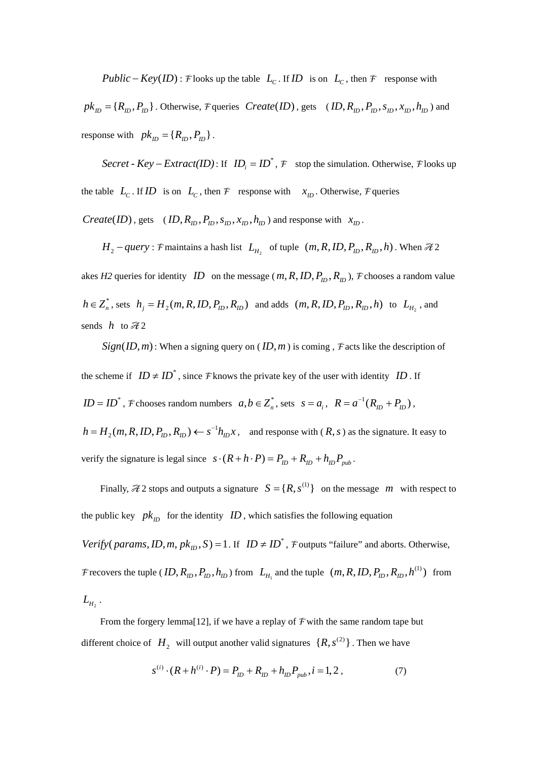*Public – Key(ID)* : F looks up the table  $L_c$ . If *ID* is on  $L_c$ , then F response with  $pk_{ID} = \{R_{ID}, P_{ID}\}\.$  Otherwise, F queries *Create* (*ID*), gets (*ID*,  $R_{ID}, P_{ID}, S_{ID}, X_{ID}, h_{ID}$ ) and response with  $pk_{ID} = \{R_{ID}, P_{ID}\}.$ 

*Secret - Key – Extract(ID)*: If  $ID_i = ID^*$ ,  $F$  stop the simulation. Otherwise,  $F$ looks up the table  $L_c$ . If *ID* is on  $L_c$ , then  $\tilde{\mathcal{F}}$  response with  $x_m$ . Otherwise,  $\tilde{\mathcal{F}}$  queries *Create*(*ID*), gets (*ID*,  $R_{ID}$ ,  $P_{ID}$ ,  $s_{ID}$ ,  $x_{ID}$ ,  $h_{ID}$ ) and response with  $x_{ID}$ .

*H*<sub>2</sub> – *query* : F maintains a hash list  $L_{H_2}$  of tuple  $(m, R, ID, P_{ID}, R_{ID}, h)$ . When  $\mathcal{H}$ 2

akes *H2* queries for identity *ID* on the message (*m*, *R*, *ID*,  $P_{ID}$ ,  $R_{ID}$ ), F chooses a random value  $h \in Z_n^*$ , sets  $h_j = H_2(m, R, ID, P_{ID}, R_{ID})$  and adds  $(m, R, ID, P_{ID}, R_{ID}, h)$  to  $L_{H_2}$ , and sends  $h$  to  $\mathcal{H}$  2

 $Sign(ID, m)$ : When a signing query on  $(ID, m)$  is coming, *F* acts like the description of the scheme if  $ID \neq ID^*$ , since F knows the private key of the user with identity *ID*. If  $ID = ID^*$ , F chooses random numbers  $a, b \in Z_n^*$ , sets  $s = a_i$ ,  $R = a^{-1}(R_{ID} + P_{ID})$ ,  $h = H_2(m, R, ID, P_{ID}, R_{ID}) \leftarrow s^{-1} h_{ID} x$ , and response with  $(R, s)$  as the signature. It easy to verify the signature is legal since  $s \cdot (R + h \cdot P) = P_{ID} + R_{ID} + h_{ID} P_{pub}$ .

Finally,  $\mathcal{F}_2$  stops and outputs a signature  $S = \{R, s^{(1)}\}$  on the message *m* with respect to the public key  $pk_{ID}$  for the identity *ID*, which satisfies the following equation Verify( params, ID, m,  $pk_m$ , S) = 1. If ID  $\neq$  ID<sup>\*</sup>, F outputs "failure" and aborts. Otherwise, F recovers the tuple (*ID*,  $R_{ID}$ ,  $P_{ID}$ ,  $h_{ID}$ ) from  $L_{H_1}$  and the tuple  $(m, R, ID, P_{ID}, R_{ID}, h^{(1)})$  from  $L_{H_2}$ .

From the forgery lemma[12], if we have a replay of  $\tilde{\mathcal{F}}$  with the same random tape but different choice of  $H_2$  will output another valid signatures  $\{R, s^{(2)}\}$ . Then we have

$$
s^{(i)} \cdot (R + h^{(i)} \cdot P) = P_{ID} + R_{ID} + h_{ID} P_{pub}, i = 1, 2,
$$
 (7)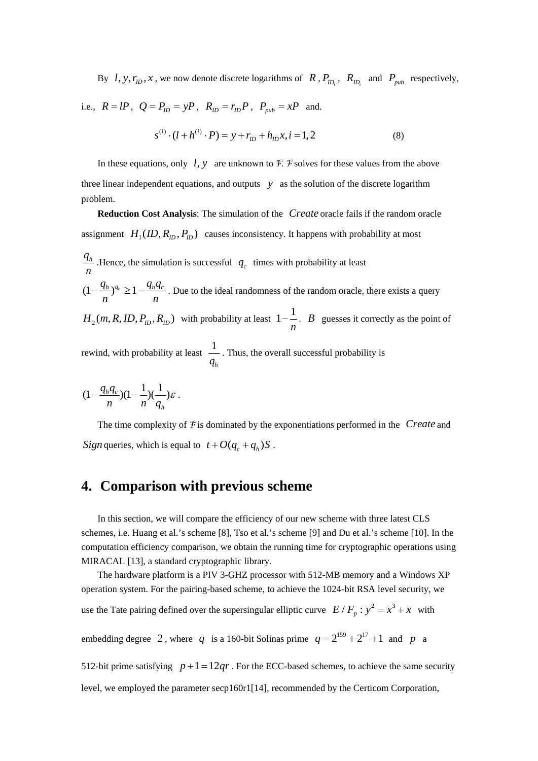By  $l$ ,  $y$ ,  $r_{ID}$ ,  $x$ , we now denote discrete logarithms of  $R$ ,  $P_{ID_i}$ ,  $R_{ID_i}$  and  $P_{pub}$  respectively,

i.e.,  $R = lP$ ,  $Q = P_{ID} = yP$ ,  $R_{ID} = r_{ID}P$ ,  $P_{pub} = xP$  and.

$$
s^{(i)} \cdot (l + h^{(i)} \cdot P) = y + r_{1D} + h_{1D} x, i = 1, 2
$$
 (8)

In these equations, only  $l, y$  are unknown to  $\tilde{\tau}$ . F solves for these values from the above three linear independent equations, and outputs  $y$  as the solution of the discrete logarithm problem.

**Reduction Cost Analysis**: The simulation of the *Create* oracle fails if the random oracle assignment  $H_1$  (*ID, R<sub>ID</sub>, P<sub>ID</sub>*) causes inconsistency. It happens with probability at most

*h q*  $\frac{d_h}{n}$ . Hence, the simulation is successful *q<sub>c</sub>* times with probability at least *n*  $(1 - \frac{q_h}{q_c})^{q_c} \geq 1 - \frac{q_h q_c}{q_c}$ *n n*  $-\frac{q_h}{r^2}$  = 1  $-\frac{q_h q_c}{r^2}$ . Due to the ideal randomness of the random oracle, there exists a query  $H_2(m, R, ID, P_{ID}, R_{ID})$  with probability at least  $1 - \frac{1}{n}$ . *B* guesses it correctly as the point of rewind, with probability at least  $\frac{1}{1}$ *h q* . Thus, the overall successful probability is

$$
(1-\frac{q_hq_c}{n})(1-\frac{1}{n})(\frac{1}{q_h})\varepsilon.
$$

The time complexity of F is dominated by the exponentiations performed in the *Create* and *Sign* queries, which is equal to  $t + O(q_c + q_h)S$ .

## **4. Comparison with previous scheme**

In this section, we will compare the efficiency of our new scheme with three latest CLS schemes, i.e. Huang et al.'s scheme [8], Tso et al.'s scheme [9] and Du et al.'s scheme [10]. In the computation efficiency comparison, we obtain the running time for cryptographic operations using MIRACAL [13], a standard cryptographic library.

The hardware platform is a PIV 3-GHZ processor with 512-MB memory and a Windows XP operation system. For the pairing-based scheme, to achieve the 1024-bit RSA level security, we use the Tate pairing defined over the supersingular elliptic curve  $E/F_n : y^2 = x^3 + x$  with

embedding degree 2, where q is a 160-bit Solinas prime  $q = 2^{159} + 2^{17} + 1$  and p a

512-bit prime satisfying  $p+1=12qr$ . For the ECC-based schemes, to achieve the same security level, we employed the parameter secp160r1[14], recommended by the Certicom Corporation,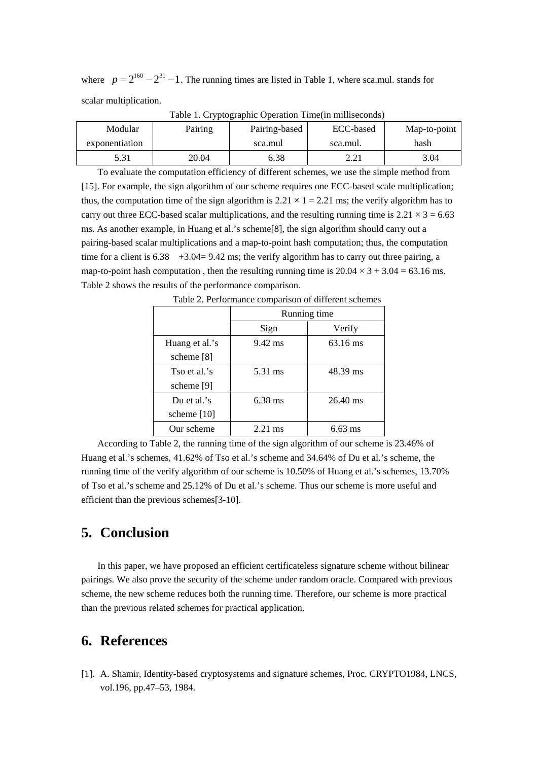where  $p = 2^{160} - 2^{31} - 1$ . The running times are listed in Table 1, where sca.mul. stands for scalar multiplication.

| Modular        | Pairing | Pairing-based | ECC-based     | Map-to-point |
|----------------|---------|---------------|---------------|--------------|
| exponentiation |         | sca.mul       | sca.mul.      | hash         |
| 5.31           | 20.04   | 6.38          | າ າ າ<br>4.ZI | 3.04         |

Table 1. Cryptographic Operation Time(in milliseconds)

To evaluate the computation efficiency of different schemes, we use the simple method from [15]. For example, the sign algorithm of our scheme requires one ECC-based scale multiplication; thus, the computation time of the sign algorithm is  $2.21 \times 1 = 2.21$  ms; the verify algorithm has to carry out three ECC-based scalar multiplications, and the resulting running time is  $2.21 \times 3 = 6.63$ ms. As another example, in Huang et al.'s scheme[8], the sign algorithm should carry out a pairing-based scalar multiplications and a map-to-point hash computation; thus, the computation time for a client is  $6.38 +3.04 = 9.42$  ms; the verify algorithm has to carry out three pairing, a map-to-point hash computation, then the resulting running time is  $20.04 \times 3 + 3.04 = 63.16$  ms. Table 2 shows the results of the performance comparison.

|                | Running time      |                    |  |
|----------------|-------------------|--------------------|--|
|                | Sign              | Verify             |  |
| Huang et al.'s | $9.42$ ms         | 63.16 ms           |  |
| scheme $[8]$   |                   |                    |  |
| Tso et al.'s   | 5.31 ms           | 48.39 ms           |  |
| scheme [9]     |                   |                    |  |
| Du et al.'s    | $6.38 \text{ ms}$ | $26.40 \text{ ms}$ |  |
| scheme $[10]$  |                   |                    |  |
| Our scheme     | $2.21 \text{ ms}$ | $6.63 \text{ ms}$  |  |

Table 2. Performance comparison of different schemes

According to Table 2, the running time of the sign algorithm of our scheme is 23.46% of Huang et al.'s schemes, 41.62% of Tso et al.'s scheme and 34.64% of Du et al.'s scheme, the running time of the verify algorithm of our scheme is 10.50% of Huang et al.'s schemes, 13.70% of Tso et al.'s scheme and 25.12% of Du et al.'s scheme. Thus our scheme is more useful and efficient than the previous schemes[3-10].

## **5. Conclusion**

In this paper, we have proposed an efficient certificateless signature scheme without bilinear pairings. We also prove the security of the scheme under random oracle. Compared with previous scheme, the new scheme reduces both the running time. Therefore, our scheme is more practical than the previous related schemes for practical application.

## **6. References**

[1]. A. Shamir, Identity-based cryptosystems and signature schemes, Proc. CRYPTO1984, LNCS, vol.196, pp.47–53, 1984.